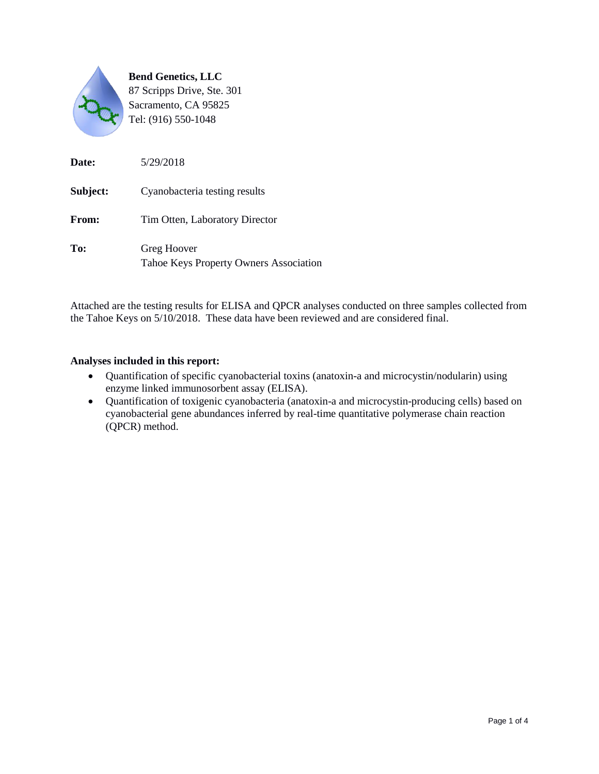

| Date:    | 5/29/2018                                             |
|----------|-------------------------------------------------------|
| Subject: | Cyanobacteria testing results                         |
| From:    | Tim Otten, Laboratory Director                        |
| To:      | Greg Hoover<br>Tahoe Keys Property Owners Association |

Attached are the testing results for ELISA and QPCR analyses conducted on three samples collected from the Tahoe Keys on 5/10/2018. These data have been reviewed and are considered final.

#### **Analyses included in this report:**

- Quantification of specific cyanobacterial toxins (anatoxin-a and microcystin/nodularin) using enzyme linked immunosorbent assay (ELISA).
- Quantification of toxigenic cyanobacteria (anatoxin-a and microcystin-producing cells) based on cyanobacterial gene abundances inferred by real-time quantitative polymerase chain reaction (QPCR) method.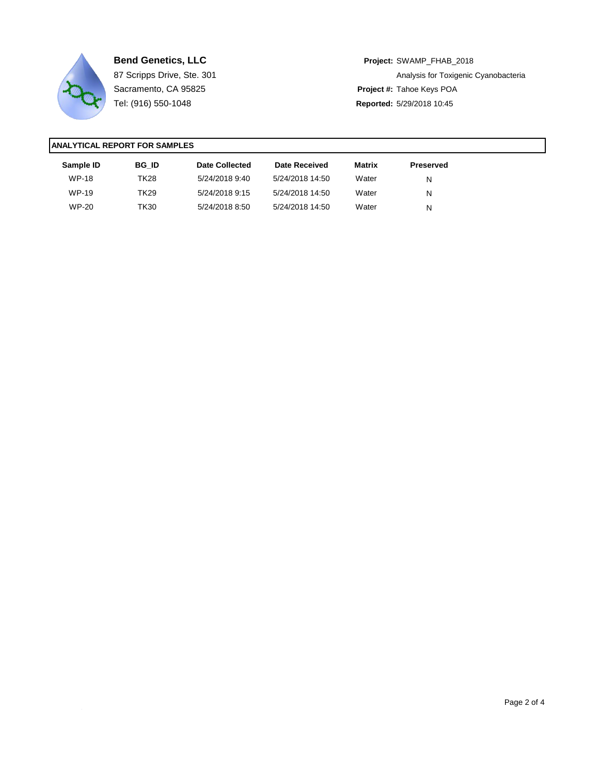

**Bend Genetics, LLC Project:** SWAMP\_FHAB\_2018 87 Scripps Drive, Ste. 301 **Analysis for Toxigenic Cyanobacteria** Analysis for Toxigenic Cyanobacteria Sacramento, CA 95825 **Project #:** Tahoe Keys POA Tel: (916) 550-1048 **Reported:** 5/29/2018 10:45

| Sample ID    | <b>BG ID</b> | Date Collected | Date Received   | Matrix | Preserved |  |
|--------------|--------------|----------------|-----------------|--------|-----------|--|
| <b>WP-18</b> | TK28         | 5/24/2018 9:40 | 5/24/2018 14:50 | Water  | N         |  |
| <b>WP-19</b> | TK29.        | 5/24/2018 9:15 | 5/24/2018 14:50 | Water  | N         |  |
| <b>WP-20</b> | TK30.        | 5/24/2018 8:50 | 5/24/2018 14:50 | Water  | N         |  |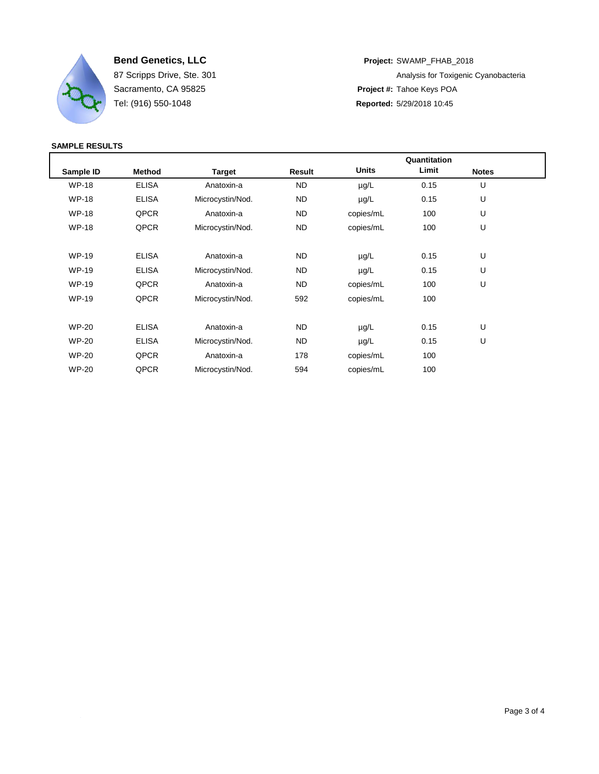

**Bend Genetics, LLC Project:** SWAMP\_FHAB\_2018 87 Scripps Drive, Ste. 301 **Analysis for Toxigenic Cyanobacteria** Analysis for Toxigenic Cyanobacteria Sacramento, CA 95825 **Project #:** Tahoe Keys POA Tel: (916) 550-1048 **Reported:** 5/29/2018 10:45

|              |               |                  | Quantitation |              |       |              |  |
|--------------|---------------|------------------|--------------|--------------|-------|--------------|--|
| Sample ID    | <b>Method</b> | <b>Target</b>    | Result       | <b>Units</b> | Limit | <b>Notes</b> |  |
| <b>WP-18</b> | <b>ELISA</b>  | Anatoxin-a       | <b>ND</b>    | $\mu$ g/L    | 0.15  | U            |  |
| <b>WP-18</b> | <b>ELISA</b>  | Microcystin/Nod. | ND           | $\mu$ g/L    | 0.15  | U            |  |
| <b>WP-18</b> | QPCR          | Anatoxin-a       | ND.          | copies/mL    | 100   | U            |  |
| <b>WP-18</b> | QPCR          | Microcystin/Nod. | ND.          | copies/mL    | 100   | U            |  |
| <b>WP-19</b> | <b>ELISA</b>  | Anatoxin-a       | ND.          | $\mu$ g/L    | 0.15  | U            |  |
| <b>WP-19</b> | <b>ELISA</b>  | Microcystin/Nod. | ND.          | $\mu$ g/L    | 0.15  | U            |  |
| <b>WP-19</b> | QPCR          | Anatoxin-a       | ND.          | copies/mL    | 100   | U            |  |
| <b>WP-19</b> | QPCR          | Microcystin/Nod. | 592          | copies/mL    | 100   |              |  |
| <b>WP-20</b> | <b>ELISA</b>  | Anatoxin-a       | ND.          | $\mu$ g/L    | 0.15  | U            |  |
| <b>WP-20</b> | <b>ELISA</b>  | Microcystin/Nod. | ND.          | $\mu$ g/L    | 0.15  | U            |  |
| <b>WP-20</b> | QPCR          | Anatoxin-a       | 178          | copies/mL    | 100   |              |  |
| <b>WP-20</b> | QPCR          | Microcystin/Nod. | 594          | copies/mL    | 100   |              |  |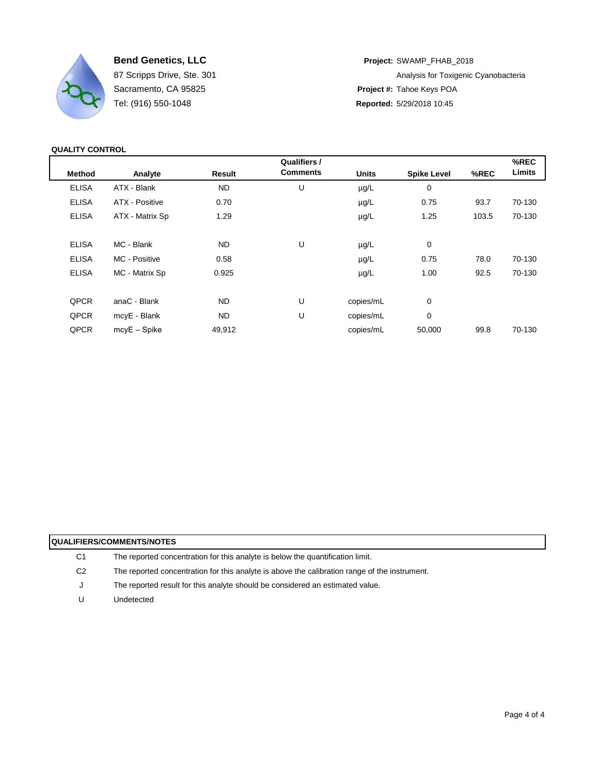

Tel: (916) 550-1048 **Reported:** 5/29/2018 10:45

**Bend Genetics, LLC Project:** SWAMP\_FHAB\_2018 87 Scripps Drive, Ste. 301 **Analysis for Toxigenic Cyanobacteria** Analysis for Toxigenic Cyanobacteria Sacramento, CA 95825 **Project #:** Tahoe Keys POA

## **QUALITY CONTROL**

|                 |               | Qualifiers /    |              |                    |       | %REC   |
|-----------------|---------------|-----------------|--------------|--------------------|-------|--------|
| Analyte         | <b>Result</b> | <b>Comments</b> | <b>Units</b> | <b>Spike Level</b> | %REC  | Limits |
| ATX - Blank     | <b>ND</b>     | U               | µg/L         | $\mathbf 0$        |       |        |
| ATX - Positive  | 0.70          |                 | µg/L         | 0.75               | 93.7  | 70-130 |
| ATX - Matrix Sp | 1.29          |                 | $\mu$ g/L    | 1.25               | 103.5 | 70-130 |
|                 |               |                 |              |                    |       |        |
| MC - Blank      | ND.           | U               | µg/L         | 0                  |       |        |
| MC Positive     | 0.58          |                 | $\mu$ g/L    | 0.75               | 78.0  | 70-130 |
| MC - Matrix Sp  | 0.925         |                 | µg/L         | 1.00               | 92.5  | 70-130 |
|                 |               |                 |              |                    |       |        |
| anaC - Blank    | <b>ND</b>     | U               | copies/mL    | $\mathbf 0$        |       |        |
| mcyE - Blank    | <b>ND</b>     | U               | copies/mL    | 0                  |       |        |
| $mcVE - Spike$  | 49,912        |                 | copies/mL    | 50,000             | 99.8  | 70-130 |
|                 |               |                 |              |                    |       |        |

| <b>QUALIFIERS/COMMENTS/NOTES</b> |                                                                                               |  |  |  |  |
|----------------------------------|-----------------------------------------------------------------------------------------------|--|--|--|--|
| C <sub>1</sub>                   | The reported concentration for this analyte is below the quantification limit.                |  |  |  |  |
| C <sub>2</sub>                   | The reported concentration for this analyte is above the calibration range of the instrument. |  |  |  |  |
| J                                | The reported result for this analyte should be considered an estimated value.                 |  |  |  |  |
| U                                | Undetected                                                                                    |  |  |  |  |
|                                  |                                                                                               |  |  |  |  |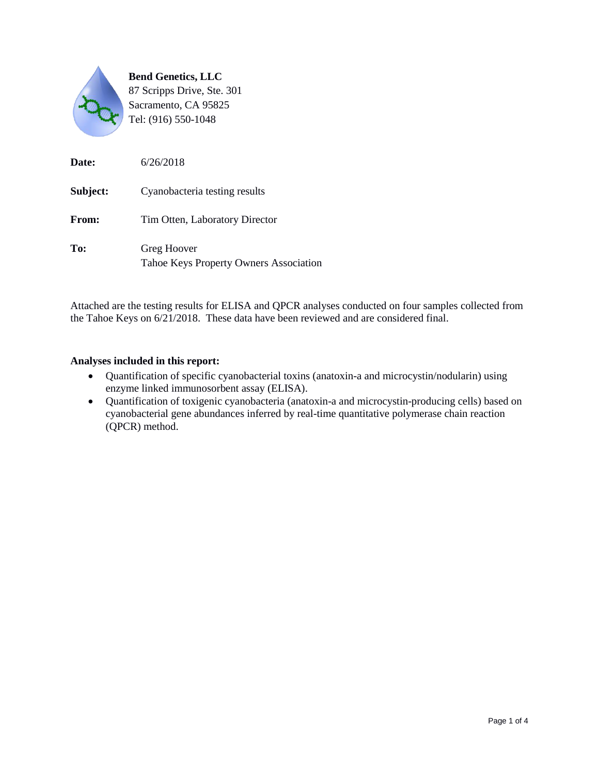

| Date:    | 6/26/2018                                             |
|----------|-------------------------------------------------------|
| Subject: | Cyanobacteria testing results                         |
| From:    | Tim Otten, Laboratory Director                        |
| To:      | Greg Hoover<br>Tahoe Keys Property Owners Association |

Attached are the testing results for ELISA and QPCR analyses conducted on four samples collected from the Tahoe Keys on 6/21/2018. These data have been reviewed and are considered final.

#### **Analyses included in this report:**

- Quantification of specific cyanobacterial toxins (anatoxin-a and microcystin/nodularin) using enzyme linked immunosorbent assay (ELISA).
- Quantification of toxigenic cyanobacteria (anatoxin-a and microcystin-producing cells) based on cyanobacterial gene abundances inferred by real-time quantitative polymerase chain reaction (QPCR) method.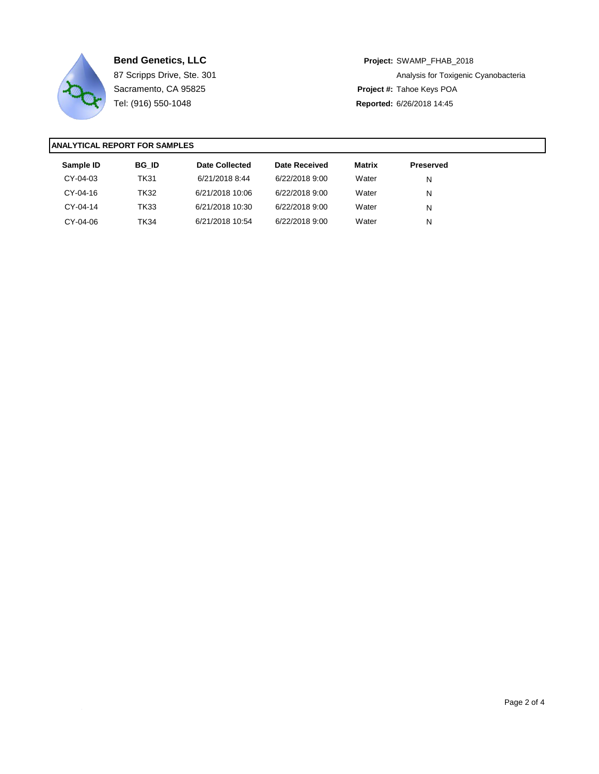

**Bend Genetics, LLC Project:** SWAMP\_FHAB\_2018 87 Scripps Drive, Ste. 301 **Analysis for Toxigenic Cyanobacteria** Analysis for Toxigenic Cyanobacteria Sacramento, CA 95825 **Project #:** Tahoe Keys POA Tel: (916) 550-1048 **Reported:** 6/26/2018 14:45

| Sample ID | <b>BG ID</b> | Date Collected  | Date Received  | Matrix | <b>Preserved</b> |
|-----------|--------------|-----------------|----------------|--------|------------------|
| CY-04-03  | <b>TK31</b>  | 6/21/2018 8:44  | 6/22/2018 9:00 | Water  | N                |
| CY-04-16  | TK32         | 6/21/2018 10:06 | 6/22/2018 9:00 | Water  | N                |
| CY-04-14  | <b>TK33</b>  | 6/21/2018 10:30 | 6/22/2018 9:00 | Water  | N                |
| CY-04-06  | TK34         | 6/21/2018 10:54 | 6/22/2018 9:00 | Water  | N                |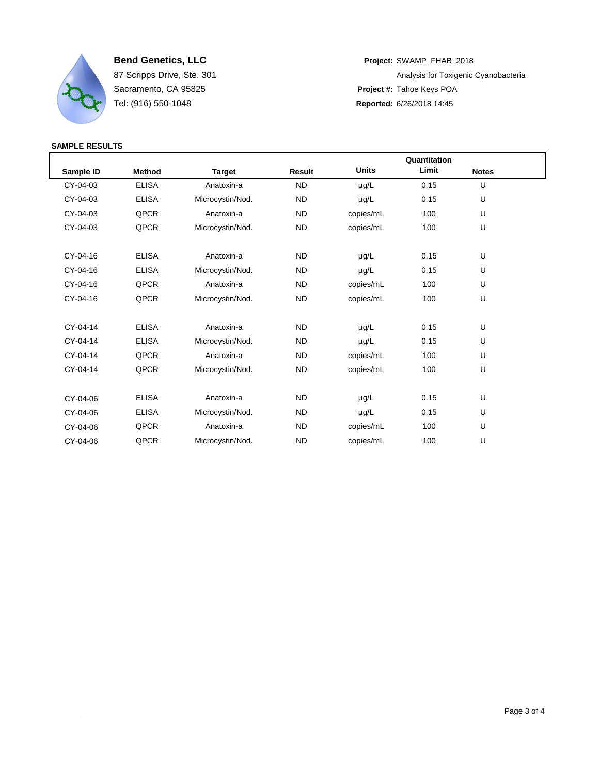

**Bend Genetics, LLC Project:** SWAMP\_FHAB\_2018 87 Scripps Drive, Ste. 301 **Analysis for Toxigenic Cyanobacteria** Analysis for Toxigenic Cyanobacteria Sacramento, CA 95825 **Project #:** Tahoe Keys POA Tel: (916) 550-1048 **Reported:** 6/26/2018 14:45

|           |               | Quantitation     |               |              |       |              |  |
|-----------|---------------|------------------|---------------|--------------|-------|--------------|--|
| Sample ID | <b>Method</b> | Target           | <b>Result</b> | <b>Units</b> | Limit | <b>Notes</b> |  |
| CY-04-03  | <b>ELISA</b>  | Anatoxin-a       | <b>ND</b>     | $\mu$ g/L    | 0.15  | U            |  |
| CY-04-03  | <b>ELISA</b>  | Microcystin/Nod. | <b>ND</b>     | $\mu$ g/L    | 0.15  | U            |  |
| CY-04-03  | QPCR          | Anatoxin-a       | <b>ND</b>     | copies/mL    | 100   | U            |  |
| CY-04-03  | QPCR          | Microcystin/Nod. | <b>ND</b>     | copies/mL    | 100   | U            |  |
| CY-04-16  | <b>ELISA</b>  | Anatoxin-a       | <b>ND</b>     | µg/L         | 0.15  | U            |  |
| CY-04-16  | <b>ELISA</b>  | Microcystin/Nod. | <b>ND</b>     | $\mu$ g/L    | 0.15  | U            |  |
| CY-04-16  | QPCR          | Anatoxin-a       | <b>ND</b>     | copies/mL    | 100   | U            |  |
| CY-04-16  | QPCR          | Microcystin/Nod. | <b>ND</b>     | copies/mL    | 100   | U            |  |
| CY-04-14  | <b>ELISA</b>  | Anatoxin-a       | <b>ND</b>     | $\mu$ g/L    | 0.15  | U            |  |
| CY-04-14  | <b>ELISA</b>  | Microcystin/Nod. | <b>ND</b>     | µg/L         | 0.15  | U            |  |
| CY-04-14  | QPCR          | Anatoxin-a       | <b>ND</b>     | copies/mL    | 100   | U            |  |
| CY-04-14  | QPCR          | Microcystin/Nod. | <b>ND</b>     | copies/mL    | 100   | U            |  |
| CY-04-06  | <b>ELISA</b>  | Anatoxin-a       | <b>ND</b>     | $\mu$ g/L    | 0.15  | U            |  |
| CY-04-06  | <b>ELISA</b>  | Microcystin/Nod. | <b>ND</b>     | $\mu$ g/L    | 0.15  | U            |  |
| CY-04-06  | QPCR          | Anatoxin-a       | <b>ND</b>     | copies/mL    | 100   | U            |  |
| CY-04-06  | QPCR          | Microcystin/Nod. | <b>ND</b>     | copies/mL    | 100   | U            |  |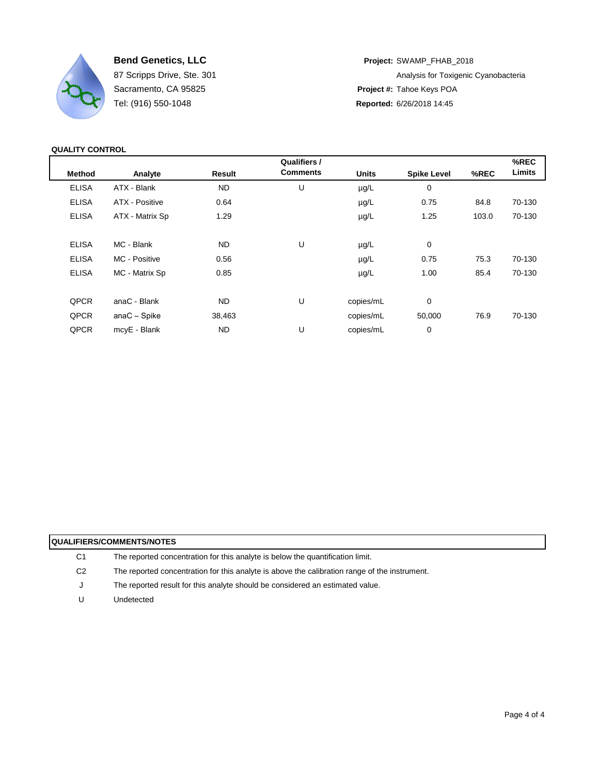

Tel: (916) 550-1048 **Reported:** 6/26/2018 14:45

**Bend Genetics, LLC Project:** SWAMP\_FHAB\_2018 87 Scripps Drive, Ste. 301 **Analysis for Toxigenic Cyanobacteria** Analysis for Toxigenic Cyanobacteria Sacramento, CA 95825 **Project #:** Tahoe Keys POA

## **QUALITY CONTROL**

|                 |           | Qualifiers / |                 |              |                    | %REC<br>Limits |
|-----------------|-----------|--------------|-----------------|--------------|--------------------|----------------|
|                 |           |              |                 |              |                    |                |
| ATX - Blank     | <b>ND</b> | U            | $\mu$ g/L       | $\mathbf 0$  |                    |                |
| ATX - Positive  | 0.64      |              | $\mu$ g/L       | 0.75         | 84.8               | 70-130         |
| ATX - Matrix Sp | 1.29      |              | $\mu$ g/L       | 1.25         | 103.0              | 70-130         |
|                 |           |              |                 |              |                    |                |
| MC - Blank      | <b>ND</b> | U            | µg/L            | 0            |                    |                |
| MC - Positive   | 0.56      |              | $\mu$ g/L       | 0.75         | 75.3               | 70-130         |
| MC - Matrix Sp  | 0.85      |              | $\mu$ g/L       | 1.00         | 85.4               | 70-130         |
|                 |           |              |                 |              |                    |                |
| anaC - Blank    | <b>ND</b> | U            | copies/mL       | 0            |                    |                |
| $anaC - Spike$  | 38,463    |              | copies/mL       | 50,000       | 76.9               | 70-130         |
| mcyE - Blank    | ND.       | U            | copies/mL       | 0            |                    |                |
|                 | Analyte   | Result       | <b>Comments</b> | <b>Units</b> | <b>Spike Level</b> | %REC           |

| <b>QUALIFIERS/COMMENTS/NOTES</b> |                                                                                               |  |  |  |
|----------------------------------|-----------------------------------------------------------------------------------------------|--|--|--|
| C1                               | The reported concentration for this analyte is below the quantification limit.                |  |  |  |
| C2                               | The reported concentration for this analyte is above the calibration range of the instrument. |  |  |  |
| J                                | The reported result for this analyte should be considered an estimated value.                 |  |  |  |
| U                                | Undetected                                                                                    |  |  |  |
|                                  |                                                                                               |  |  |  |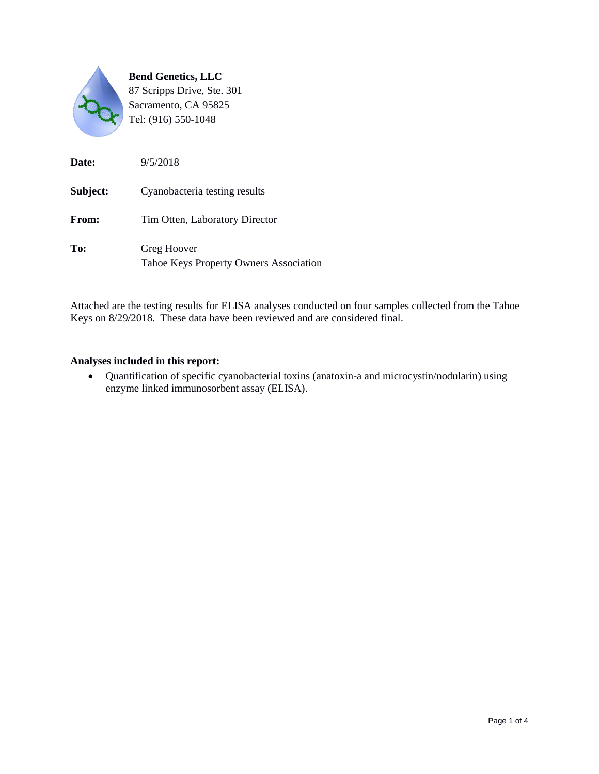

| Date:        | 9/5/2018                                              |
|--------------|-------------------------------------------------------|
| Subject:     | Cyanobacteria testing results                         |
| <b>From:</b> | Tim Otten, Laboratory Director                        |
| To:          | Greg Hoover<br>Tahoe Keys Property Owners Association |

Attached are the testing results for ELISA analyses conducted on four samples collected from the Tahoe Keys on 8/29/2018. These data have been reviewed and are considered final.

#### **Analyses included in this report:**

 Quantification of specific cyanobacterial toxins (anatoxin-a and microcystin/nodularin) using enzyme linked immunosorbent assay (ELISA).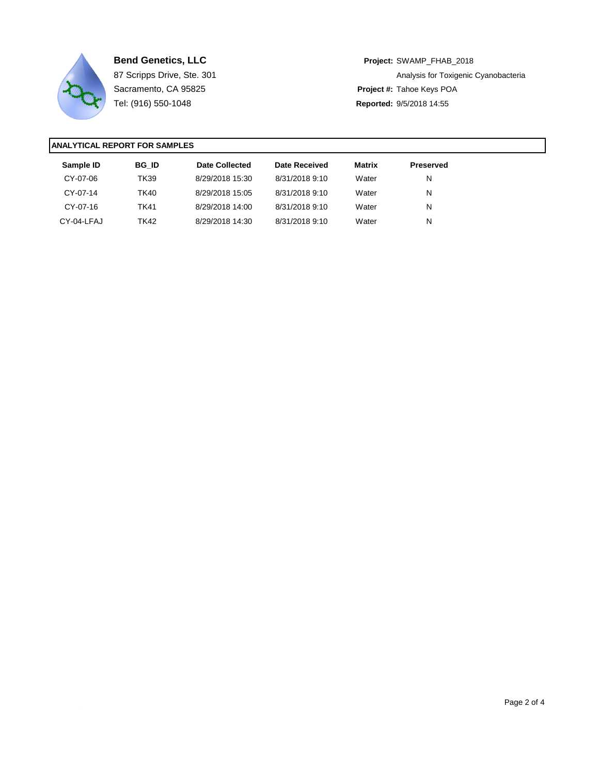

**Bend Genetics, LLC Project:** SWAMP\_FHAB\_2018 87 Scripps Drive, Ste. 301 **Analysis for Toxigenic Cyanobacteria** Analysis for Toxigenic Cyanobacteria Sacramento, CA 95825 **Project #:** Tahoe Keys POA Tel: (916) 550-1048 **Reported:** 9/5/2018 14:55

| Sample ID  | <b>BG ID</b> | Date Collected  | Date Received  | Matrix | <b>Preserved</b> |
|------------|--------------|-----------------|----------------|--------|------------------|
| CY-07-06   | TK39         | 8/29/2018 15:30 | 8/31/2018 9:10 | Water  | N                |
| CY-07-14   | TK40         | 8/29/2018 15:05 | 8/31/2018 9:10 | Water  | N                |
| CY-07-16   | <b>TK41</b>  | 8/29/2018 14:00 | 8/31/2018 9:10 | Water  | N                |
| CY-04-LFAJ | TK42         | 8/29/2018 14:30 | 8/31/2018 9:10 | Water  | N                |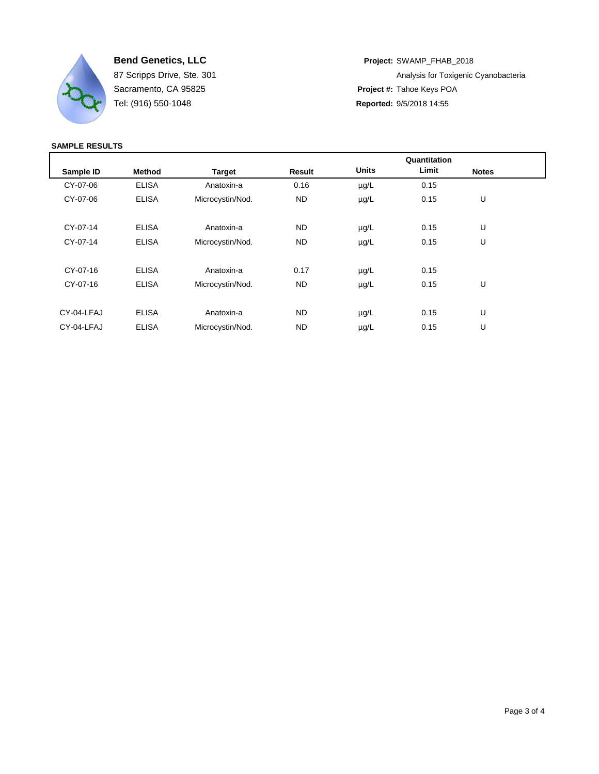

**Bend Genetics, LLC Project:** SWAMP\_FHAB\_2018 87 Scripps Drive, Ste. 301 **Analysis for Toxigenic Cyanobacteria** Analysis for Toxigenic Cyanobacteria Sacramento, CA 95825 **Project #:** Tahoe Keys POA Tel: (916) 550-1048 **Reported:** 9/5/2018 14:55

|            |               |                  |               |              | Quantitation |              |  |
|------------|---------------|------------------|---------------|--------------|--------------|--------------|--|
| Sample ID  | <b>Method</b> | <b>Target</b>    | <b>Result</b> | <b>Units</b> | Limit        | <b>Notes</b> |  |
| CY-07-06   | <b>ELISA</b>  | Anatoxin-a       | 0.16          | $\mu$ g/L    | 0.15         |              |  |
| CY-07-06   | <b>ELISA</b>  | Microcystin/Nod. | ND            | $\mu$ g/L    | 0.15         | U            |  |
|            |               |                  |               |              |              |              |  |
| CY-07-14   | <b>ELISA</b>  | Anatoxin-a       | ND            | $\mu$ g/L    | 0.15         | U            |  |
| CY-07-14   | <b>ELISA</b>  | Microcystin/Nod. | <b>ND</b>     | $\mu$ g/L    | 0.15         | U            |  |
|            |               |                  |               |              |              |              |  |
| CY-07-16   | <b>ELISA</b>  | Anatoxin-a       | 0.17          | $\mu$ g/L    | 0.15         |              |  |
| CY-07-16   | <b>ELISA</b>  | Microcystin/Nod. | ND            | $\mu$ g/L    | 0.15         | U            |  |
|            |               |                  |               |              |              |              |  |
| CY-04-LFAJ | <b>ELISA</b>  | Anatoxin-a       | <b>ND</b>     | $\mu$ g/L    | 0.15         | U            |  |
| CY-04-LFAJ | <b>ELISA</b>  | Microcystin/Nod. | <b>ND</b>     | $\mu$ g/L    | 0.15         | U            |  |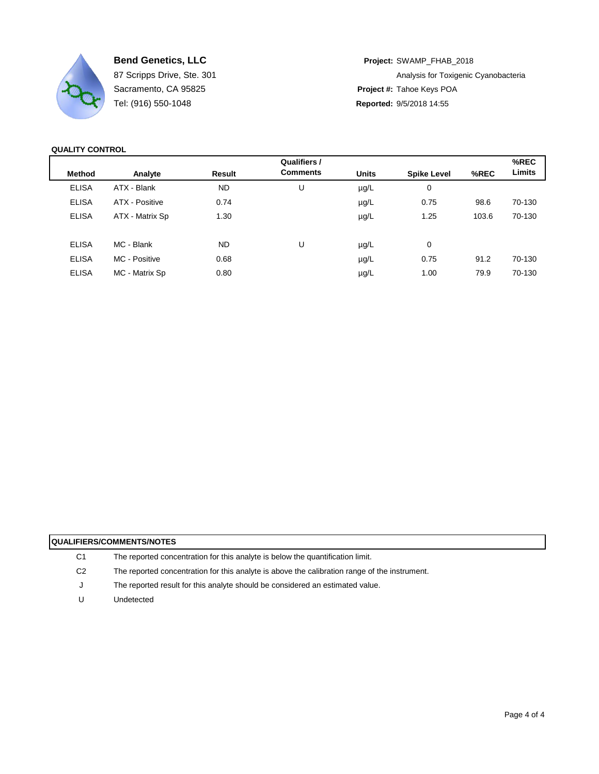

Tel: (916) 550-1048 **Reported:** 9/5/2018 14:55

**Bend Genetics, LLC Project:** SWAMP\_FHAB\_2018 87 Scripps Drive, Ste. 301 **Analysis for Toxigenic Cyanobacteria** Analysis for Toxigenic Cyanobacteria Sacramento, CA 95825 **Project #:** Tahoe Keys POA

**QUALITY CONTROL**

|                 |           | Qualifiers /    |              |                    |       | %REC   |
|-----------------|-----------|-----------------|--------------|--------------------|-------|--------|
| Analyte         | Result    | <b>Comments</b> | <b>Units</b> | <b>Spike Level</b> | %REC  | Limits |
| ATX - Blank     | <b>ND</b> | U               | $\mu$ g/L    | 0                  |       |        |
| ATX - Positive  | 0.74      |                 | $\mu$ g/L    | 0.75               | 98.6  | 70-130 |
| ATX - Matrix Sp | 1.30      |                 | $\mu$ g/L    | 1.25               | 103.6 | 70-130 |
| MC - Blank      | ND.       | U               | $\mu$ g/L    | 0                  |       |        |
| MC - Positive   | 0.68      |                 | $\mu$ g/L    | 0.75               | 91.2  | 70-130 |
| MC - Matrix Sp  | 0.80      |                 | $\mu$ g/L    | 1.00               | 79.9  | 70-130 |
|                 |           |                 |              |                    |       |        |

| <b>QUALIFIERS/COMMENTS/NOTES</b> |                                                                                               |  |  |  |  |
|----------------------------------|-----------------------------------------------------------------------------------------------|--|--|--|--|
| C <sub>1</sub>                   | The reported concentration for this analyte is below the quantification limit.                |  |  |  |  |
| C <sub>2</sub>                   | The reported concentration for this analyte is above the calibration range of the instrument. |  |  |  |  |
| J                                | The reported result for this analyte should be considered an estimated value.                 |  |  |  |  |
| U                                | Undetected                                                                                    |  |  |  |  |
|                                  |                                                                                               |  |  |  |  |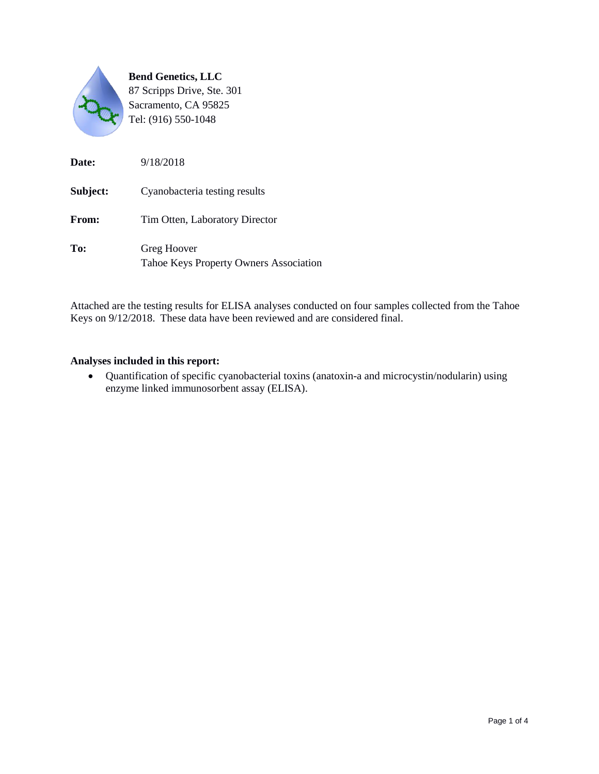

| Date:        | 9/18/2018                                             |
|--------------|-------------------------------------------------------|
| Subject:     | Cyanobacteria testing results                         |
| <b>From:</b> | Tim Otten, Laboratory Director                        |
| To:          | Greg Hoover<br>Tahoe Keys Property Owners Association |

Attached are the testing results for ELISA analyses conducted on four samples collected from the Tahoe Keys on 9/12/2018. These data have been reviewed and are considered final.

#### **Analyses included in this report:**

 Quantification of specific cyanobacterial toxins (anatoxin-a and microcystin/nodularin) using enzyme linked immunosorbent assay (ELISA).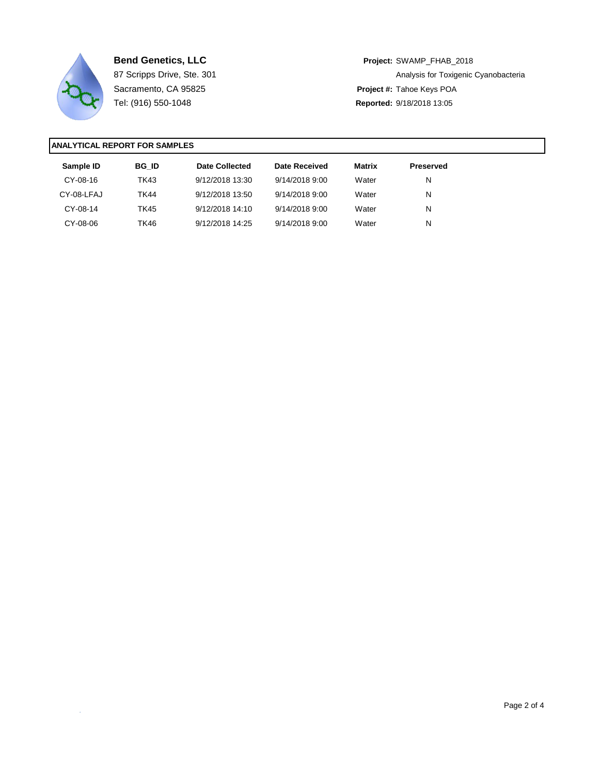

**Bend Genetics, LLC Project:** SWAMP\_FHAB\_2018 87 Scripps Drive, Ste. 301 **Analysis for Toxigenic Cyanobacteria** Analysis for Toxigenic Cyanobacteria Sacramento, CA 95825 **Project #:** Tahoe Keys POA Tel: (916) 550-1048 **Reported:** 9/18/2018 13:05

| Sample ID  | <b>BG ID</b> | Date Collected  | Date Received  | <b>Matrix</b> | <b>Preserved</b> |
|------------|--------------|-----------------|----------------|---------------|------------------|
| CY-08-16   | TK43         | 9/12/2018 13:30 | 9/14/2018 9:00 | Water         | N                |
| CY-08-LFAJ | <b>TK44</b>  | 9/12/2018 13:50 | 9/14/2018 9:00 | Water         | N                |
| CY-08-14   | <b>TK45</b>  | 9/12/2018 14:10 | 9/14/2018 9:00 | Water         | N                |
| CY-08-06   | TK46         | 9/12/2018 14:25 | 9/14/2018 9:00 | Water         | N                |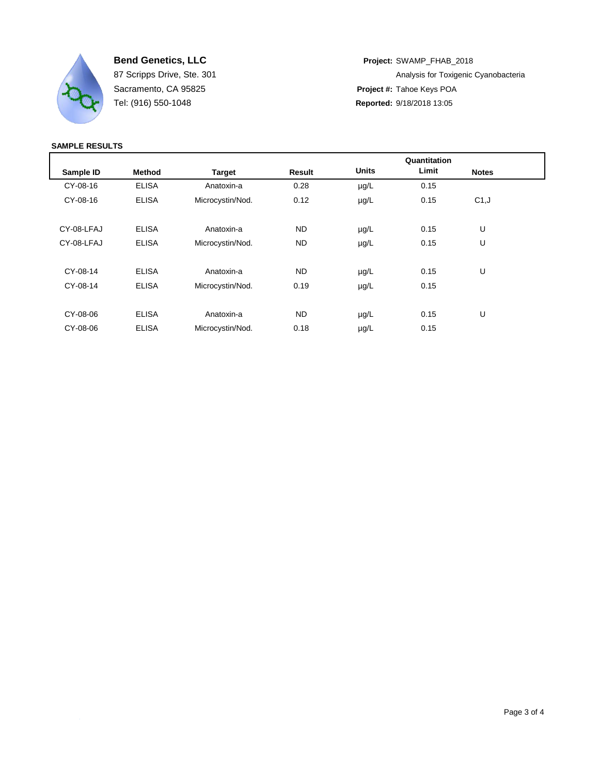

**Bend Genetics, LLC Project:** SWAMP\_FHAB\_2018 87 Scripps Drive, Ste. 301 **Analysis for Toxigenic Cyanobacteria** Analysis for Toxigenic Cyanobacteria Sacramento, CA 95825 **Project #:** Tahoe Keys POA Tel: (916) 550-1048 **Reported:** 9/18/2018 13:05

|            |               |                  |           |              | Quantitation |              |  |
|------------|---------------|------------------|-----------|--------------|--------------|--------------|--|
| Sample ID  | <b>Method</b> | <b>Target</b>    | Result    | <b>Units</b> | Limit        | <b>Notes</b> |  |
| CY-08-16   | <b>ELISA</b>  | Anatoxin-a       | 0.28      | $\mu$ g/L    | 0.15         |              |  |
| CY-08-16   | <b>ELISA</b>  | Microcystin/Nod. | 0.12      | $\mu$ g/L    | 0.15         | C1, J        |  |
|            |               |                  |           |              |              |              |  |
| CY-08-LFAJ | <b>ELISA</b>  | Anatoxin-a       | <b>ND</b> | $\mu$ g/L    | 0.15         | U            |  |
| CY-08-LFAJ | <b>ELISA</b>  | Microcystin/Nod. | <b>ND</b> | $\mu$ g/L    | 0.15         | U            |  |
|            |               |                  |           |              |              |              |  |
| CY-08-14   | <b>ELISA</b>  | Anatoxin-a       | <b>ND</b> | $\mu$ g/L    | 0.15         | U            |  |
| CY-08-14   | <b>ELISA</b>  | Microcystin/Nod. | 0.19      | $\mu$ g/L    | 0.15         |              |  |
|            |               |                  |           |              |              |              |  |
| CY-08-06   | <b>ELISA</b>  | Anatoxin-a       | <b>ND</b> | $\mu$ g/L    | 0.15         | U            |  |
| CY-08-06   | <b>ELISA</b>  | Microcystin/Nod. | 0.18      | $\mu$ g/L    | 0.15         |              |  |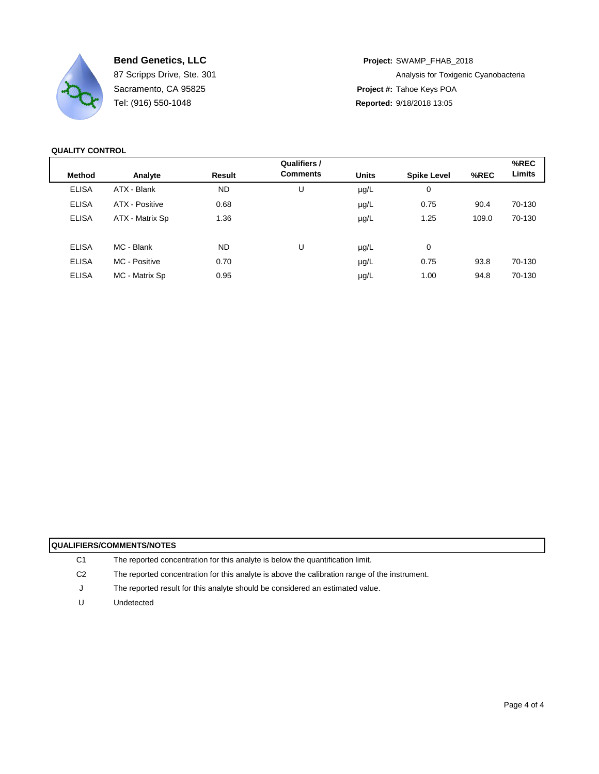

Tel: (916) 550-1048 **Reported:** 9/18/2018 13:05

**Bend Genetics, LLC Project:** SWAMP\_FHAB\_2018 87 Scripps Drive, Ste. 301 **Analysis for Toxigenic Cyanobacteria** Analysis for Toxigenic Cyanobacteria Sacramento, CA 95825 **Project #:** Tahoe Keys POA

**QUALITY CONTROL**

| %REC   |
|--------|
| Limits |
|        |
| 70-130 |
| 70-130 |
|        |
|        |
| 70-130 |
| 70-130 |
|        |

| <b>QUALIFIERS/COMMENTS/NOTES</b> |                                                                                               |  |  |  |  |
|----------------------------------|-----------------------------------------------------------------------------------------------|--|--|--|--|
| C1                               | The reported concentration for this analyte is below the quantification limit.                |  |  |  |  |
| C2                               | The reported concentration for this analyte is above the calibration range of the instrument. |  |  |  |  |
| J                                | The reported result for this analyte should be considered an estimated value.                 |  |  |  |  |
|                                  | Undetected                                                                                    |  |  |  |  |
|                                  |                                                                                               |  |  |  |  |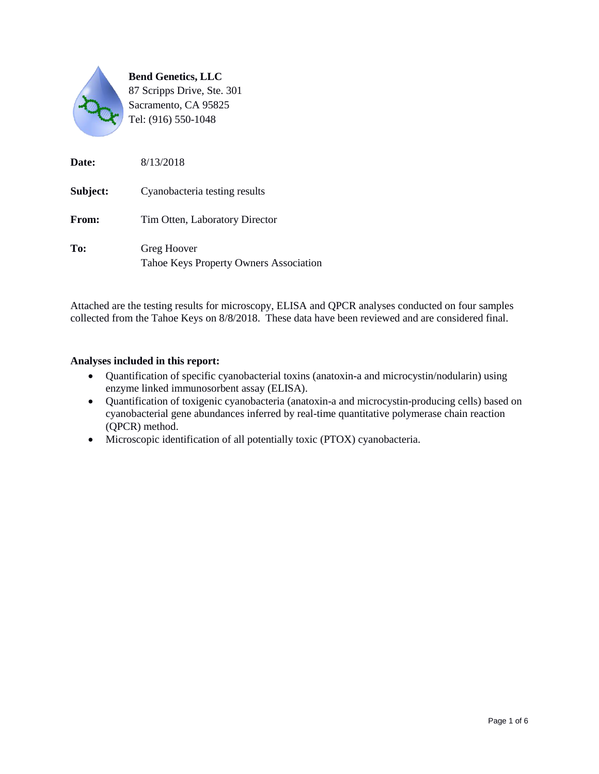

| Date:    | 8/13/2018                                             |
|----------|-------------------------------------------------------|
| Subject: | Cyanobacteria testing results                         |
| From:    | Tim Otten, Laboratory Director                        |
| To:      | Greg Hoover<br>Tahoe Keys Property Owners Association |

Attached are the testing results for microscopy, ELISA and QPCR analyses conducted on four samples collected from the Tahoe Keys on 8/8/2018. These data have been reviewed and are considered final.

#### **Analyses included in this report:**

- Quantification of specific cyanobacterial toxins (anatoxin-a and microcystin/nodularin) using enzyme linked immunosorbent assay (ELISA).
- Quantification of toxigenic cyanobacteria (anatoxin-a and microcystin-producing cells) based on cyanobacterial gene abundances inferred by real-time quantitative polymerase chain reaction (QPCR) method.
- Microscopic identification of all potentially toxic (PTOX) cyanobacteria.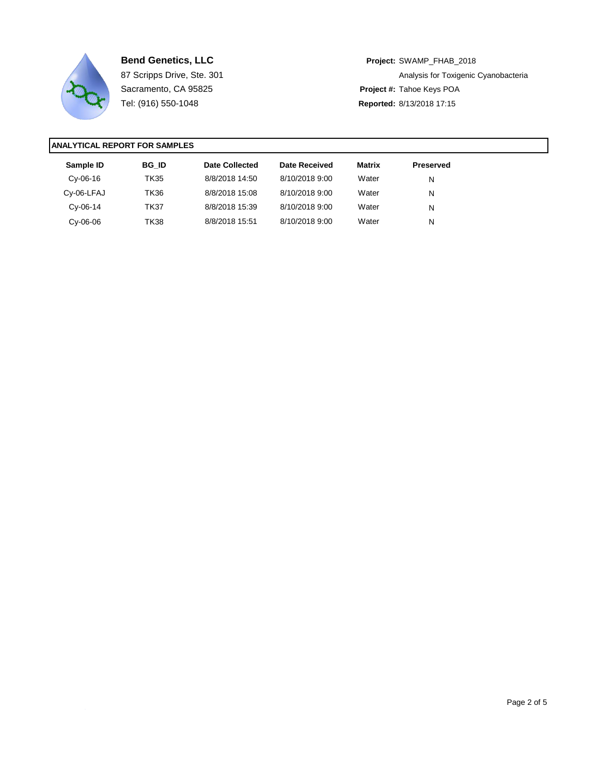

**Bend Genetics, LLC Project:** SWAMP\_FHAB\_2018 87 Scripps Drive, Ste. 301 **Analysis for Toxigenic Cyanobacteria** Analysis for Toxigenic Cyanobacteria Sacramento, CA 95825 **Project #:** Tahoe Keys POA Tel: (916) 550-1048 **Reported:** 8/13/2018 17:15

| Sample ID  | <b>BG ID</b> | Date Collected | Date Received  | <b>Matrix</b> | <b>Preserved</b> |  |
|------------|--------------|----------------|----------------|---------------|------------------|--|
| $Cv-06-16$ | TK35         | 8/8/2018 14:50 | 8/10/2018 9:00 | Water         | N                |  |
| Cy-06-LFAJ | TK36         | 8/8/2018 15:08 | 8/10/2018 9:00 | Water         | N                |  |
| $Cv-06-14$ | <b>TK37</b>  | 8/8/2018 15:39 | 8/10/2018 9:00 | Water         | N                |  |
| $Cv-06-06$ | <b>TK38</b>  | 8/8/2018 15:51 | 8/10/2018 9:00 | Water         | N                |  |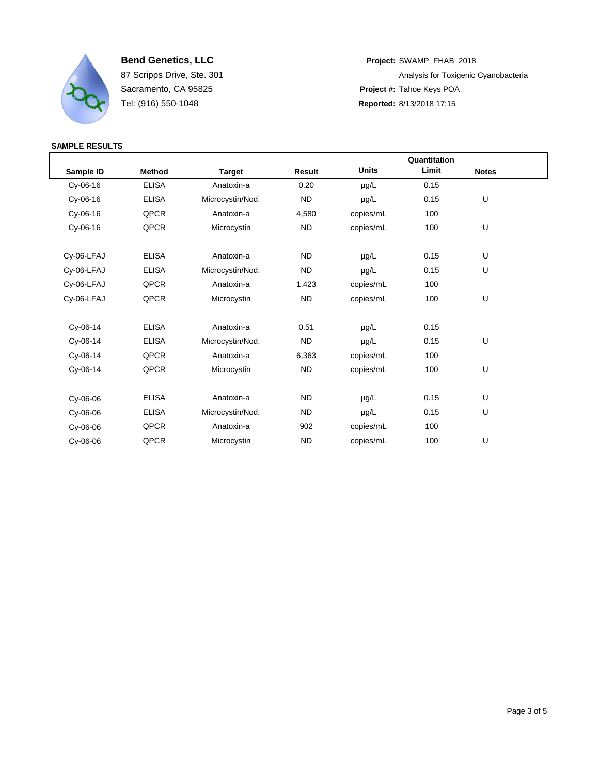

**Bend Genetics, LLC Project:** SWAMP\_FHAB\_2018 87 Scripps Drive, Ste. 301 **Analysis for Toxigenic Cyanobacteria** Analysis for Toxigenic Cyanobacteria Sacramento, CA 95825 **Project #:** Tahoe Keys POA Tel: (916) 550-1048 **Reported:** 8/13/2018 17:15

|            |               |                  |                |              | Quantitation |              |  |
|------------|---------------|------------------|----------------|--------------|--------------|--------------|--|
| Sample ID  | <b>Method</b> | <b>Target</b>    | Result         | <b>Units</b> | Limit        | <b>Notes</b> |  |
| $Cy-06-16$ | <b>ELISA</b>  | Anatoxin-a       | 0.20           | µg/L         | 0.15         |              |  |
| Cy-06-16   | <b>ELISA</b>  | Microcystin/Nod. | <b>ND</b>      | µg/L         | 0.15         | U            |  |
| $Cy-06-16$ | QPCR          | Anatoxin-a       | 4,580          | copies/mL    | 100          |              |  |
| Cy-06-16   | QPCR          | Microcystin      | N <sub>D</sub> | copies/mL    | 100          | U            |  |
| Cy-06-LFAJ | <b>ELISA</b>  | Anatoxin-a       | <b>ND</b>      | µg/L         | 0.15         | U            |  |
| Cy-06-LFAJ | <b>ELISA</b>  | Microcystin/Nod. | <b>ND</b>      | $\mu$ g/L    | 0.15         | U            |  |
| Cy-06-LFAJ | QPCR          | Anatoxin-a       | 1,423          | copies/mL    | 100          |              |  |
| Cy-06-LFAJ | QPCR          | Microcystin      | ND.            | copies/mL    | 100          | U            |  |
| $Cy-06-14$ | <b>ELISA</b>  | Anatoxin-a       | 0.51           | $\mu$ g/L    | 0.15         |              |  |
| Cy-06-14   | <b>ELISA</b>  | Microcystin/Nod. | <b>ND</b>      | µg/L         | 0.15         | U            |  |
| Cy-06-14   | QPCR          | Anatoxin-a       | 6,363          | copies/mL    | 100          |              |  |
| Cy-06-14   | QPCR          | Microcystin      | ND.            | copies/mL    | 100          | U            |  |
| $Cy-06-06$ | <b>ELISA</b>  | Anatoxin-a       | <b>ND</b>      | µg/L         | 0.15         | U            |  |
| Cy-06-06   | <b>ELISA</b>  | Microcystin/Nod. | <b>ND</b>      | µg/L         | 0.15         | U            |  |
| Cy-06-06   | QPCR          | Anatoxin-a       | 902            | copies/mL    | 100          |              |  |
| Cv-06-06   | QPCR          | Microcystin      | <b>ND</b>      | copies/mL    | 100          | U            |  |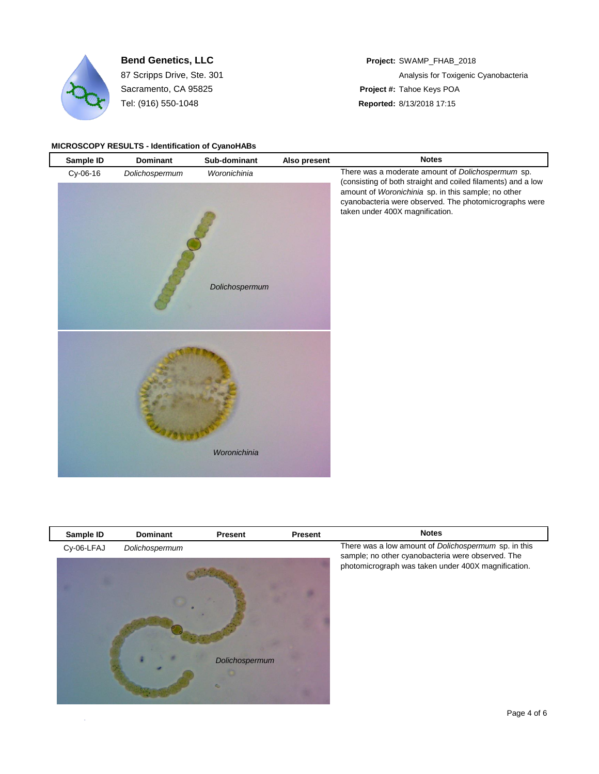

Sacramento, CA 95825 **Project #:** Tahoe Keys POA Tel: (916) 550-1048 **Reported:** 8/13/2018 17:15

# **Bend Genetics, LLC Project:** SWAMP\_FHAB\_2018 87 Scripps Drive, Ste. 301 **Analysis for Toxigenic Cyanobacteria** Analysis for Toxigenic Cyanobacteria

#### **MICROSCOPY RESULTS - Identification of CyanoHABs**

| Sample ID | <b>Dominant</b> | Sub-dominant                   | Also present | <b>Notes</b>                                                                                                                                                                                                                                                          |
|-----------|-----------------|--------------------------------|--------------|-----------------------------------------------------------------------------------------------------------------------------------------------------------------------------------------------------------------------------------------------------------------------|
| Cy-06-16  | Dolichospermum  | Woronichinia<br>Dolichospermum |              | There was a moderate amount of Dolichospermum sp.<br>(consisting of both straight and coiled filaments) and a low<br>amount of Woronichinia sp. in this sample; no other<br>cyanobacteria were observed. The photomicrographs were<br>taken under 400X magnification. |
|           |                 | Woronichinia                   |              |                                                                                                                                                                                                                                                                       |

| Sample ID  | Dominant       | <b>Present</b> | Present | <b>Notes</b>                                                                                                                                                     |
|------------|----------------|----------------|---------|------------------------------------------------------------------------------------------------------------------------------------------------------------------|
| Cy-06-LFAJ | Dolichospermum | Dolichospermum |         | There was a low amount of Dolichospermum sp. in this<br>sample; no other cyanobacteria were observed. The<br>photomicrograph was taken under 400X magnification. |
|            |                |                |         |                                                                                                                                                                  |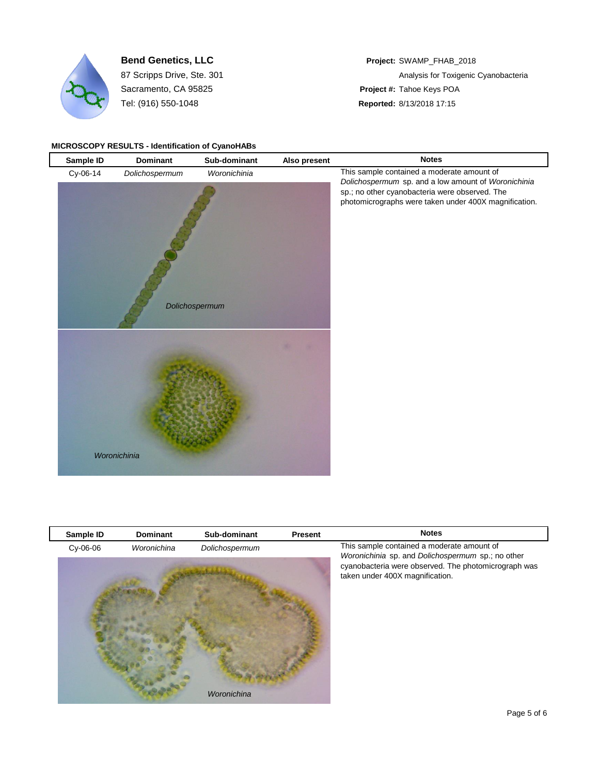

Sacramento, CA 95825 **Project #:** Tahoe Keys POA Tel: (916) 550-1048 **Reported:** 8/13/2018 17:15

# **Bend Genetics, LLC Project:** SWAMP\_FHAB\_2018 87 Scripps Drive, Ste. 301 **Analysis for Toxigenic Cyanobacteria** Analysis for Toxigenic Cyanobacteria

#### **MICROSCOPY RESULTS - Identification of CyanoHABs**

| Sample ID | Dominant       | Sub-dominant                   | Also present | <b>Notes</b>                                                                                                                                                                                                 |
|-----------|----------------|--------------------------------|--------------|--------------------------------------------------------------------------------------------------------------------------------------------------------------------------------------------------------------|
| Cy-06-14  | Dolichospermum | Woronichinia<br>Dolichospermum |              | This sample contained a moderate amount of<br>Dolichospermum sp. and a low amount of Woronichinia<br>sp.; no other cyanobacteria were observed. The<br>photomicrographs were taken under 400X magnification. |
|           | Woronichinia   |                                |              |                                                                                                                                                                                                              |

| Sample ID  | <b>Dominant</b> | Sub-dominant   | <b>Present</b> | <b>Notes</b>                                                                                                                                 |
|------------|-----------------|----------------|----------------|----------------------------------------------------------------------------------------------------------------------------------------------|
| $Cy-06-06$ | Woronichina     | Dolichospermum |                | This sample contained a moderate amount of                                                                                                   |
|            |                 |                |                | Woronichinia sp. and Dolichospermum sp.; no other<br>cyanobacteria were observed. The photomicrograph was<br>taken under 400X magnification. |
|            |                 | Woronichina    |                |                                                                                                                                              |